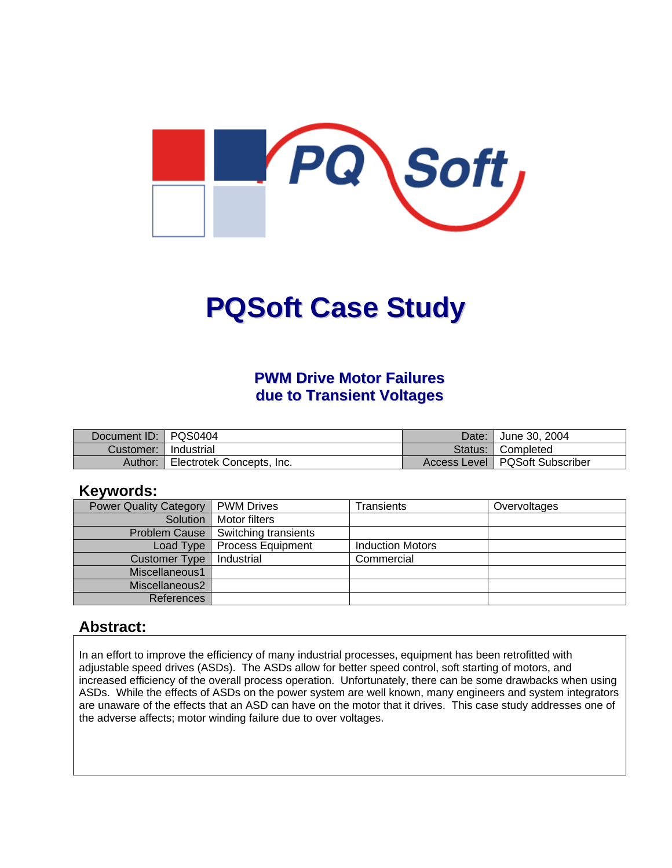

# **PQSoft Case Study**

## **PWM Drive Motor Failures due to Transient Voltages**

| Document ID: PQS0404 |                           | Date:   | June 30, 2004                    |
|----------------------|---------------------------|---------|----------------------------------|
| Customer:            | Industrial                | Status: | Completed                        |
| Author:              | Electrotek Concepts, Inc. |         | Access Level   PQSoft Subscriber |

#### **Keywords:**

| <b>Power Quality Category</b> | <b>PWM Drives</b>        | Transients              | Overvoltages |
|-------------------------------|--------------------------|-------------------------|--------------|
| Solution                      | Motor filters            |                         |              |
| <b>Problem Cause</b>          | Switching transients     |                         |              |
| Load Type                     | <b>Process Equipment</b> | <b>Induction Motors</b> |              |
| Customer Type                 | Industrial               | Commercial              |              |
| Miscellaneous1                |                          |                         |              |
| Miscellaneous2                |                          |                         |              |
| <b>References</b>             |                          |                         |              |

#### **Abstract:**

In an effort to improve the efficiency of many industrial processes, equipment has been retrofitted with adjustable speed drives (ASDs). The ASDs allow for better speed control, soft starting of motors, and increased efficiency of the overall process operation. Unfortunately, there can be some drawbacks when using ASDs. While the effects of ASDs on the power system are well known, many engineers and system integrators are unaware of the effects that an ASD can have on the motor that it drives. This case study addresses one of the adverse affects; motor winding failure due to over voltages.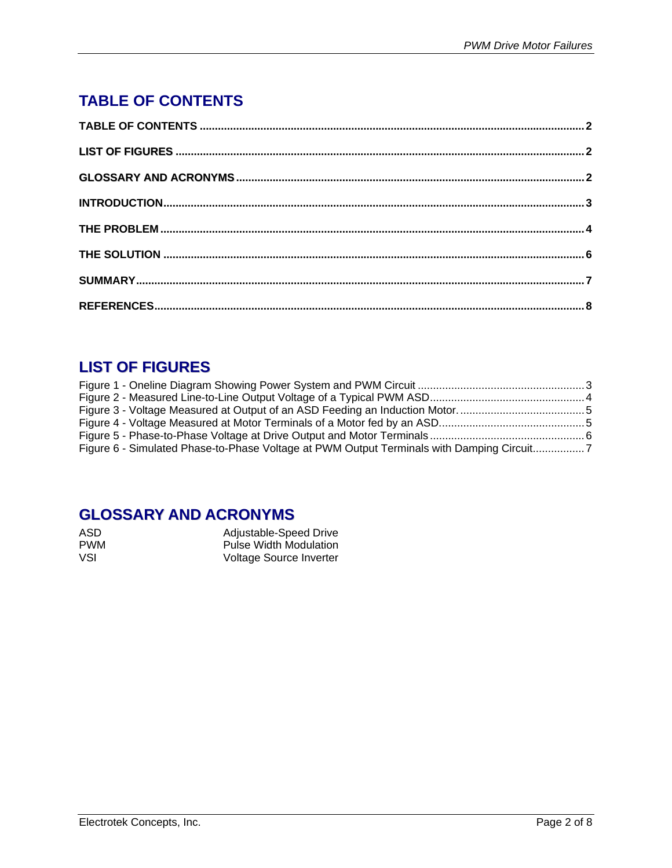# <span id="page-1-0"></span>**TABLE OF CONTENTS**

# **LIST OF FIGURES**

| Figure 6 - Simulated Phase-to-Phase Voltage at PWM Output Terminals with Damping Circuit7 |  |
|-------------------------------------------------------------------------------------------|--|

# **GLOSSARY AND ACRONYMS**

| ASD        | Adjustable-Speed Drive        |
|------------|-------------------------------|
| <b>PWM</b> | <b>Pulse Width Modulation</b> |
| VSL        | Voltage Source Inverter       |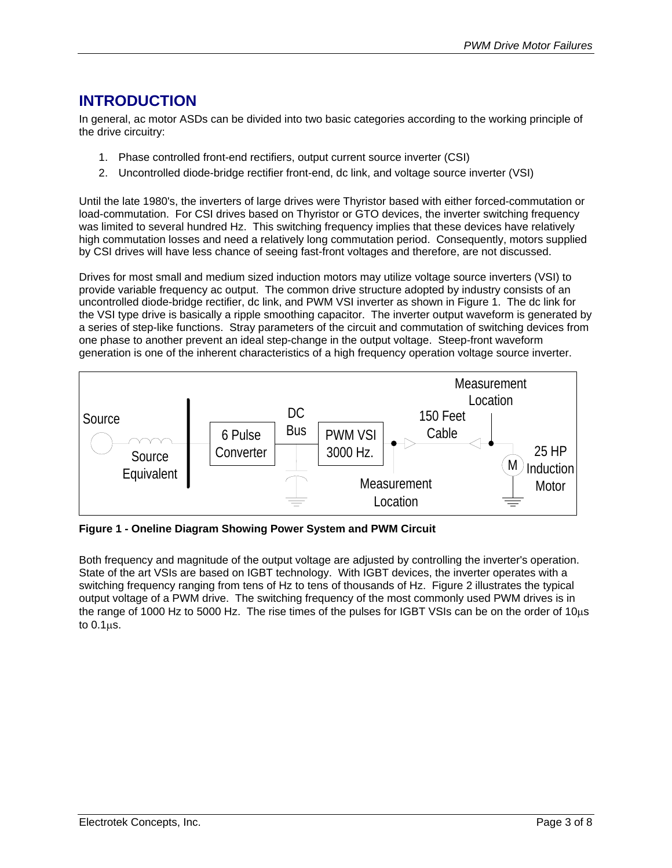# <span id="page-2-0"></span>**INTRODUCTION**

In general, ac motor ASDs can be divided into two basic categories according to the working principle of the drive circuitry:

- 1. Phase controlled front-end rectifiers, output current source inverter (CSI)
- 2. Uncontrolled diode-bridge rectifier front-end, dc link, and voltage source inverter (VSI)

Until the late 1980's, the inverters of large drives were Thyristor based with either forced-commutation or load-commutation. For CSI drives based on Thyristor or GTO devices, the inverter switching frequency was limited to several hundred Hz. This switching frequency implies that these devices have relatively high commutation losses and need a relatively long commutation period. Consequently, motors supplied by CSI drives will have less chance of seeing fast-front voltages and therefore, are not discussed.

Drives for most small and medium sized induction motors may utilize voltage source inverters (VSI) to provide variable frequency ac output. The common drive structure adopted by industry consists of an uncontrolled diode-bridge rectifier, dc link, and PWM VSI inverter as shown in [Figure 1.](#page-2-1) The dc link for the VSI type drive is basically a ripple smoothing capacitor. The inverter output waveform is generated by a series of step-like functions. Stray parameters of the circuit and commutation of switching devices from one phase to another prevent an ideal step-change in the output voltage. Steep-front waveform generation is one of the inherent characteristics of a high frequency operation voltage source inverter.

<span id="page-2-1"></span>

**Figure 1 - Oneline Diagram Showing Power System and PWM Circuit** 

Both frequency and magnitude of the output voltage are adjusted by controlling the inverter's operation. State of the art VSIs are based on IGBT technology. With IGBT devices, the inverter operates with a switching frequency ranging from tens of Hz to tens of thousands of Hz. [Figure 2](#page-3-1) illustrates the typical output voltage of a PWM drive. The switching frequency of the most commonly used PWM drives is in the range of 1000 Hz to 5000 Hz. The rise times of the pulses for IGBT VSIs can be on the order of 10µs to  $0.1 \mu s$ .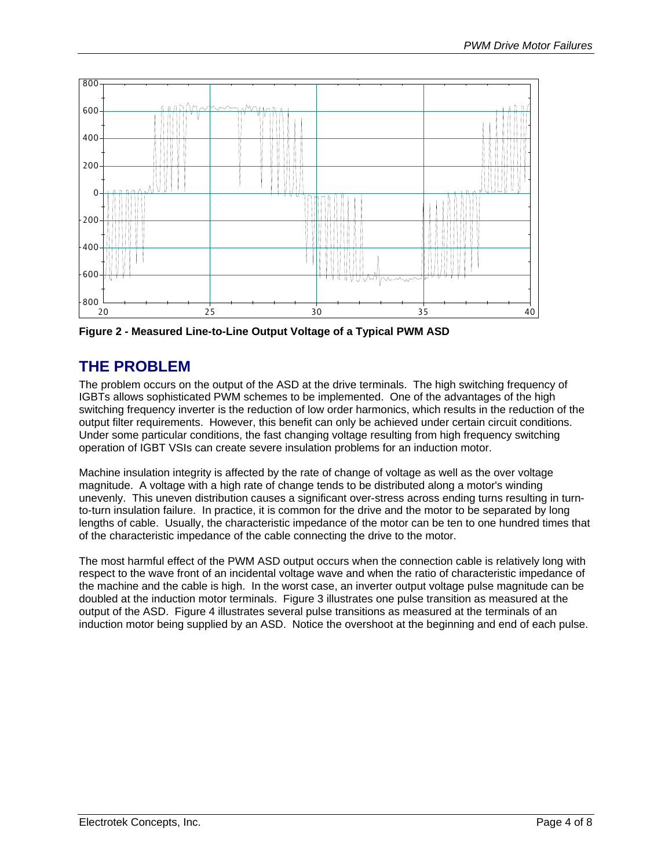<span id="page-3-1"></span><span id="page-3-0"></span>

**Figure 2 - Measured Line-to-Line Output Voltage of a Typical PWM ASD** 

# **THE PROBLEM**

The problem occurs on the output of the ASD at the drive terminals. The high switching frequency of IGBTs allows sophisticated PWM schemes to be implemented. One of the advantages of the high switching frequency inverter is the reduction of low order harmonics, which results in the reduction of the output filter requirements. However, this benefit can only be achieved under certain circuit conditions. Under some particular conditions, the fast changing voltage resulting from high frequency switching operation of IGBT VSIs can create severe insulation problems for an induction motor.

Machine insulation integrity is affected by the rate of change of voltage as well as the over voltage magnitude. A voltage with a high rate of change tends to be distributed along a motor's winding unevenly. This uneven distribution causes a significant over-stress across ending turns resulting in turnto-turn insulation failure. In practice, it is common for the drive and the motor to be separated by long lengths of cable. Usually, the characteristic impedance of the motor can be ten to one hundred times that of the characteristic impedance of the cable connecting the drive to the motor.

The most harmful effect of the PWM ASD output occurs when the connection cable is relatively long with respect to the wave front of an incidental voltage wave and when the ratio of characteristic impedance of the machine and the cable is high. In the worst case, an inverter output voltage pulse magnitude can be doubled at the induction motor terminals. [Figure 3](#page-4-1) illustrates one pulse transition as measured at the output of the ASD. [Figure 4](#page-4-2) illustrates several pulse transitions as measured at the terminals of an induction motor being supplied by an ASD. Notice the overshoot at the beginning and end of each pulse.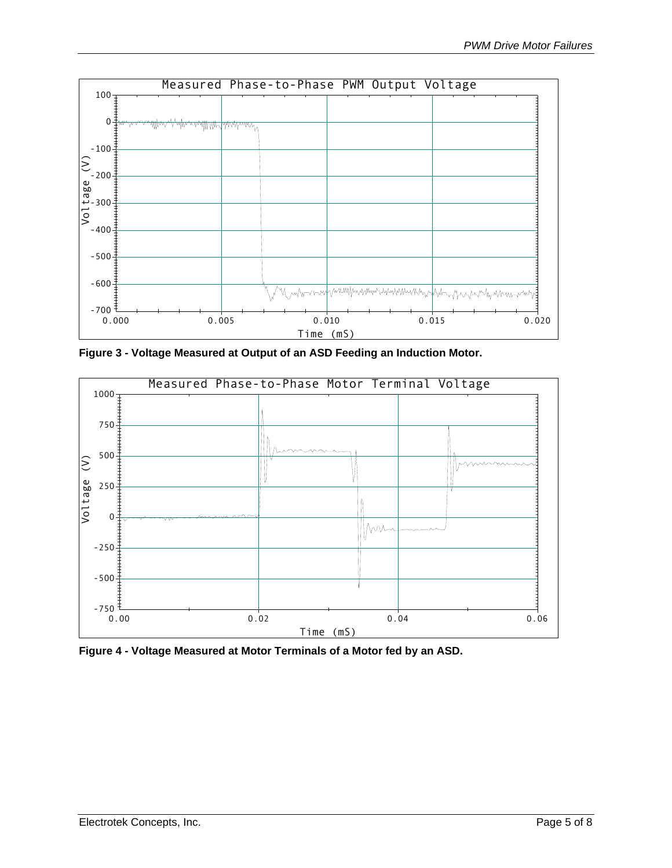<span id="page-4-1"></span><span id="page-4-0"></span>

**Figure 3 - Voltage Measured at Output of an ASD Feeding an Induction Motor.** 

<span id="page-4-2"></span>

**Figure 4 - Voltage Measured at Motor Terminals of a Motor fed by an ASD.**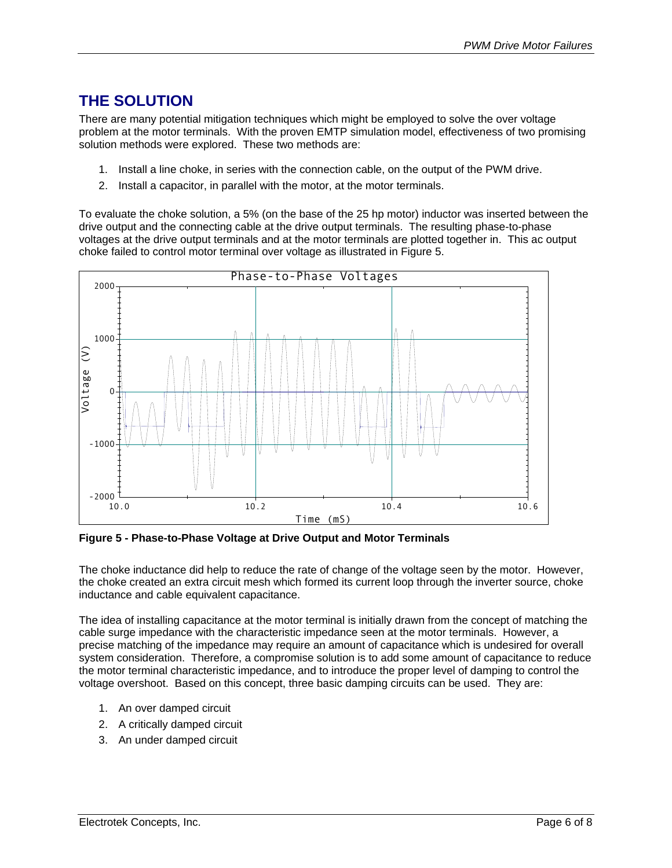# <span id="page-5-0"></span>**THE SOLUTION**

There are many potential mitigation techniques which might be employed to solve the over voltage problem at the motor terminals. With the proven EMTP simulation model, effectiveness of two promising solution methods were explored. These two methods are:

- 1. Install a line choke, in series with the connection cable, on the output of the PWM drive.
- 2. Install a capacitor, in parallel with the motor, at the motor terminals.

To evaluate the choke solution, a 5% (on the base of the 25 hp motor) inductor was inserted between the drive output and the connecting cable at the drive output terminals. The resulting phase-to-phase voltages at the drive output terminals and at the motor terminals are plotted together in. This ac output choke failed to control motor terminal over voltage as illustrated in [Figure 5.](#page-5-1)

<span id="page-5-1"></span>

**Figure 5 - Phase-to-Phase Voltage at Drive Output and Motor Terminals** 

The choke inductance did help to reduce the rate of change of the voltage seen by the motor. However, the choke created an extra circuit mesh which formed its current loop through the inverter source, choke inductance and cable equivalent capacitance.

The idea of installing capacitance at the motor terminal is initially drawn from the concept of matching the cable surge impedance with the characteristic impedance seen at the motor terminals. However, a precise matching of the impedance may require an amount of capacitance which is undesired for overall system consideration. Therefore, a compromise solution is to add some amount of capacitance to reduce the motor terminal characteristic impedance, and to introduce the proper level of damping to control the voltage overshoot. Based on this concept, three basic damping circuits can be used. They are:

- 1. An over damped circuit
- 2. A critically damped circuit
- 3. An under damped circuit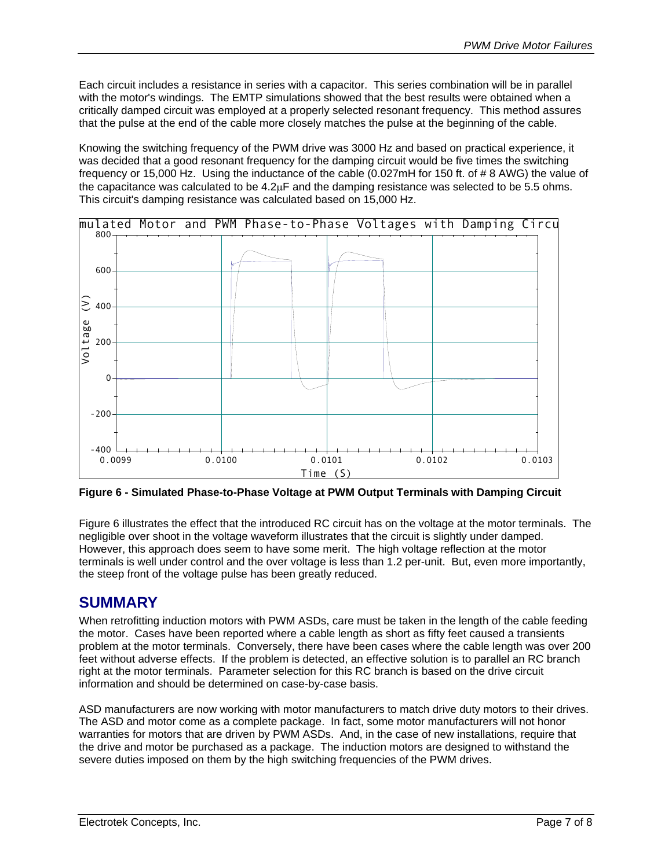<span id="page-6-0"></span>Each circuit includes a resistance in series with a capacitor. This series combination will be in parallel with the motor's windings. The EMTP simulations showed that the best results were obtained when a critically damped circuit was employed at a properly selected resonant frequency. This method assures that the pulse at the end of the cable more closely matches the pulse at the beginning of the cable.

Knowing the switching frequency of the PWM drive was 3000 Hz and based on practical experience, it was decided that a good resonant frequency for the damping circuit would be five times the switching frequency or 15,000 Hz. Using the inductance of the cable (0.027mH for 150 ft. of # 8 AWG) the value of the capacitance was calculated to be  $4.2\mu$ F and the damping resistance was selected to be 5.5 ohms. This circuit's damping resistance was calculated based on 15,000 Hz.

<span id="page-6-1"></span>

**Figure 6 - Simulated Phase-to-Phase Voltage at PWM Output Terminals with Damping Circuit** 

[Figure 6](#page-6-1) illustrates the effect that the introduced RC circuit has on the voltage at the motor terminals. The negligible over shoot in the voltage waveform illustrates that the circuit is slightly under damped. However, this approach does seem to have some merit. The high voltage reflection at the motor terminals is well under control and the over voltage is less than 1.2 per-unit. But, even more importantly, the steep front of the voltage pulse has been greatly reduced.

#### **SUMMARY**

When retrofitting induction motors with PWM ASDs, care must be taken in the length of the cable feeding the motor. Cases have been reported where a cable length as short as fifty feet caused a transients problem at the motor terminals. Conversely, there have been cases where the cable length was over 200 feet without adverse effects. If the problem is detected, an effective solution is to parallel an RC branch right at the motor terminals. Parameter selection for this RC branch is based on the drive circuit information and should be determined on case-by-case basis.

ASD manufacturers are now working with motor manufacturers to match drive duty motors to their drives. The ASD and motor come as a complete package. In fact, some motor manufacturers will not honor warranties for motors that are driven by PWM ASDs. And, in the case of new installations, require that the drive and motor be purchased as a package. The induction motors are designed to withstand the severe duties imposed on them by the high switching frequencies of the PWM drives.